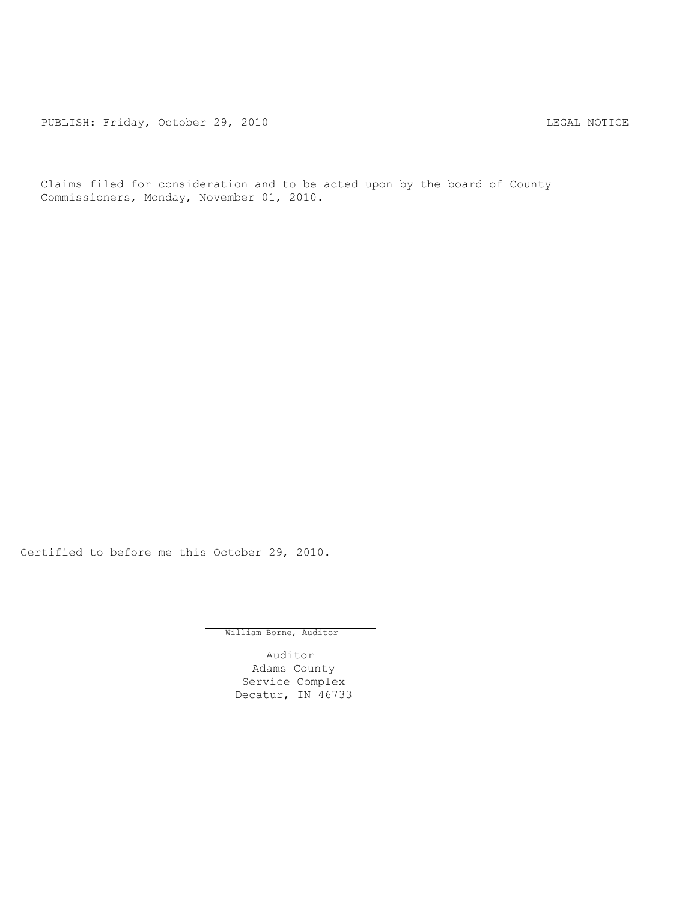PUBLISH: Friday, October 29, 2010 CHA CHANGE CONTROL CONTROL CONTROL CONTROL CONTROL CONTROL CONTROL CONTROL CONTROL CONTROL CONTROL CONTROL CONTROL CONTROL CONTROL CONTROL CONTROL CONTROL CONTROL CONTROL CONTROL CONTROL C

Claims filed for consideration and to be acted upon by the board of County Commissioners, Monday, November 01, 2010.

Certified to before me this October 29, 2010.

William Borne, Auditor

Auditor Adams County Service Complex Decatur, IN 46733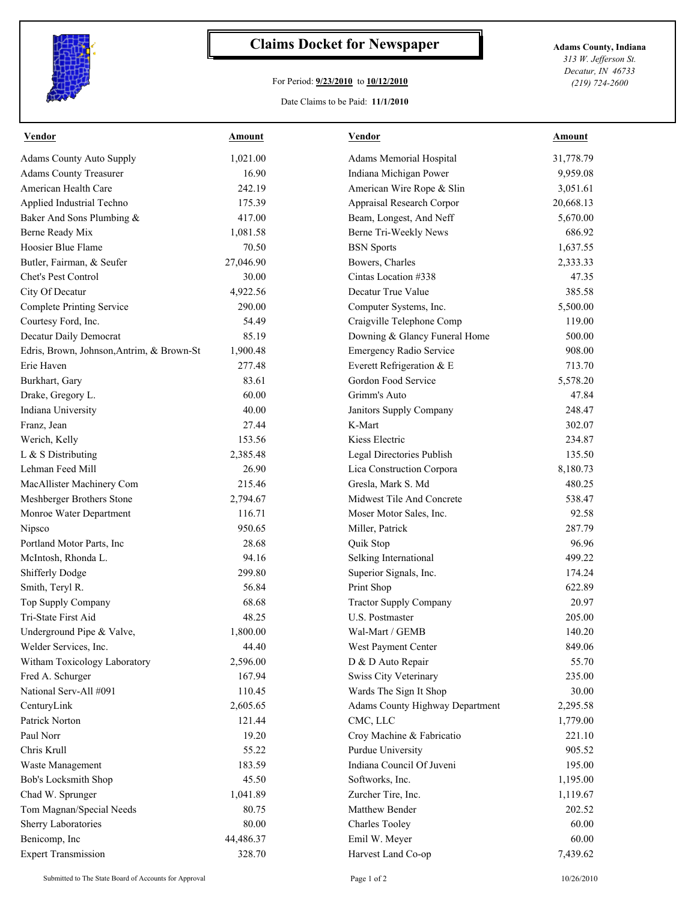

## **Claims Docket for Newspaper Adams County, Indiana**

## For Period: **9/23/2010** to **10/12/2010**

*313 W. Jefferson St. Decatur, IN 46733 (219) 724-2600*

## Date Claims to be Paid: **11/1/2010**

| <b>Vendor</b>                             | <b>Amount</b> | <b>Vendor</b>                          | <b>Amount</b> |
|-------------------------------------------|---------------|----------------------------------------|---------------|
| <b>Adams County Auto Supply</b>           | 1,021.00      | Adams Memorial Hospital                | 31,778.79     |
| <b>Adams County Treasurer</b>             | 16.90         | Indiana Michigan Power                 | 9,959.08      |
| American Health Care                      | 242.19        | American Wire Rope & Slin              | 3,051.61      |
| Applied Industrial Techno                 | 175.39        | Appraisal Research Corpor              | 20,668.13     |
| Baker And Sons Plumbing &                 | 417.00        | Beam, Longest, And Neff                | 5,670.00      |
| Berne Ready Mix                           | 1,081.58      | Berne Tri-Weekly News                  | 686.92        |
| Hoosier Blue Flame                        | 70.50         | <b>BSN</b> Sports                      | 1,637.55      |
| Butler, Fairman, & Seufer                 | 27,046.90     | Bowers, Charles                        | 2,333.33      |
| Chet's Pest Control                       | 30.00         | Cintas Location #338                   | 47.35         |
| City Of Decatur                           | 4,922.56      | Decatur True Value                     | 385.58        |
| <b>Complete Printing Service</b>          | 290.00        | Computer Systems, Inc.                 | 5,500.00      |
| Courtesy Ford, Inc.                       | 54.49         | Craigville Telephone Comp              | 119.00        |
| Decatur Daily Democrat                    | 85.19         | Downing & Glancy Funeral Home          | 500.00        |
| Edris, Brown, Johnson, Antrim, & Brown-St | 1,900.48      | <b>Emergency Radio Service</b>         | 908.00        |
| Erie Haven                                | 277.48        | Everett Refrigeration & E              | 713.70        |
| Burkhart, Gary                            | 83.61         | Gordon Food Service                    | 5,578.20      |
| Drake, Gregory L.                         | 60.00         | Grimm's Auto                           | 47.84         |
| Indiana University                        | 40.00         | Janitors Supply Company                | 248.47        |
| Franz, Jean                               | 27.44         | K-Mart                                 | 302.07        |
| Werich, Kelly                             | 153.56        | Kiess Electric                         | 234.87        |
| L & S Distributing                        | 2,385.48      | Legal Directories Publish              | 135.50        |
| Lehman Feed Mill                          | 26.90         | Lica Construction Corpora              | 8,180.73      |
| MacAllister Machinery Com                 | 215.46        | Gresla, Mark S. Md                     | 480.25        |
| Meshberger Brothers Stone                 | 2,794.67      | Midwest Tile And Concrete              | 538.47        |
| Monroe Water Department                   | 116.71        | Moser Motor Sales, Inc.                | 92.58         |
| Nipsco                                    | 950.65        | Miller, Patrick                        | 287.79        |
| Portland Motor Parts, Inc                 | 28.68         | Quik Stop                              | 96.96         |
| McIntosh, Rhonda L.                       | 94.16         | Selking International                  | 499.22        |
| <b>Shifferly Dodge</b>                    | 299.80        | Superior Signals, Inc.                 | 174.24        |
| Smith, Teryl R.                           | 56.84         | Print Shop                             | 622.89        |
| Top Supply Company                        | 68.68         | <b>Tractor Supply Company</b>          | 20.97         |
| Tri-State First Aid                       | 48.25         | U.S. Postmaster                        | 205.00        |
| Underground Pipe & Valve,                 | 1,800.00      | Wal-Mart / GEMB                        | 140.20        |
| Welder Services, Inc.                     | 44.40         | West Payment Center                    | 849.06        |
| Witham Toxicology Laboratory              | 2,596.00      | D & D Auto Repair                      | 55.70         |
| Fred A. Schurger                          | 167.94        | Swiss City Veterinary                  | 235.00        |
| National Serv-All #091                    | 110.45        | Wards The Sign It Shop                 | 30.00         |
| CenturyLink                               | 2,605.65      | <b>Adams County Highway Department</b> | 2,295.58      |
| Patrick Norton                            | 121.44        | CMC, LLC                               | 1,779.00      |
| Paul Norr                                 | 19.20         | Croy Machine & Fabricatio              | 221.10        |
| Chris Krull                               | 55.22         | Purdue University                      | 905.52        |
| Waste Management                          | 183.59        | Indiana Council Of Juveni              | 195.00        |
| Bob's Locksmith Shop                      | 45.50         | Softworks, Inc.                        | 1,195.00      |
| Chad W. Sprunger                          | 1,041.89      | Zurcher Tire, Inc.                     | 1,119.67      |
| Tom Magnan/Special Needs                  | 80.75         | Matthew Bender                         | 202.52        |
| Sherry Laboratories                       | 80.00         | <b>Charles Tooley</b>                  | 60.00         |
| Benicomp, Inc                             | 44,486.37     | Emil W. Meyer                          | 60.00         |
| <b>Expert Transmission</b>                | 328.70        | Harvest Land Co-op                     | 7,439.62      |